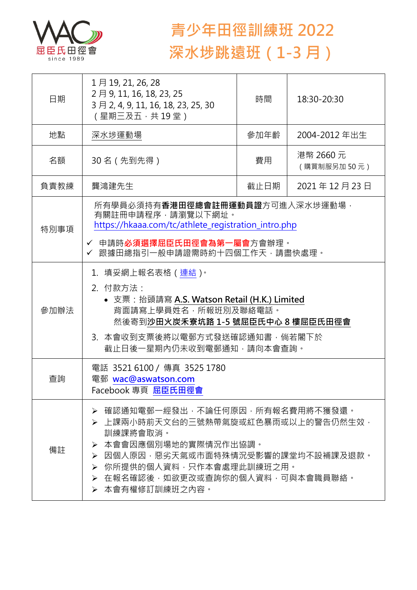

## **青少年田徑訓練班 2022 深水埗跳遠班(1-3 月)**

| 日期   | 1月19, 21, 26, 28<br>2月9, 11, 16, 18, 23, 25<br>3月2, 4, 9, 11, 16, 18, 23, 25, 30<br>(星期三及五,共19堂)                                                                                                                                                  | 時間   | 18:30-20:30              |  |
|------|---------------------------------------------------------------------------------------------------------------------------------------------------------------------------------------------------------------------------------------------------|------|--------------------------|--|
| 地點   | 深水埗運動場                                                                                                                                                                                                                                            | 參加年齡 | 2004-2012 年出生            |  |
| 名額   | 30 名(先到先得)                                                                                                                                                                                                                                        | 費用   | 港幣 2660 元<br>(購買制服另加50元) |  |
| 負責教練 | 龔鴻建先生                                                                                                                                                                                                                                             | 截止日期 | 2021年12月23日              |  |
| 特別事項 | 所有學員必須持有 <b>香港田徑總會註冊運動員證</b> 方可進入深水埗運動場 ·<br>有關註冊申請程序,請瀏覽以下網址。<br>https://hkaaa.com/tc/athlete_registration_intro.php<br>✔ 申請時 <b>必須選擇屈臣氏田徑會為第一屬會</b> 方會辦理。<br>✔ 跟據田總指引一般申請證需時約十四個工作天‧請盡快處理。                                                      |      |                          |  |
| 參加辦法 | 1.填妥網上報名表格(連結) <sup>。</sup><br>2. 付款方法:<br>• 支票: 抬頭請寫 A.S. Watson Retail (H.K.) Limited<br>背面請寫上學員姓名,所報班別及聯絡電話。<br>然後寄到沙田火炭禾寮坑路 1-5 號屈臣氏中心 8 樓屈臣氏田徑會<br>3. 本會收到支票後將以電郵方式發送確認通知書,倘若閣下於<br>截止日後一星期內仍未收到電郵通知,請向本會查詢。                                 |      |                          |  |
| 查詢   | 電話 3521 6100 / 傳真 3525 1780<br>電郵 wac@aswatson.com<br>Facebook 專頁 屈臣氏田徑會                                                                                                                                                                          |      |                          |  |
| 備註   | 確認通知電郵一經發出,不論任何原因,所有報名費用將不獲發還。<br>➤<br>▶ 上課兩小時前天文台的三號熱帶氣旋或紅色暴雨或以上的警告仍然生效,<br>訓練課將會取消。<br>本會會因應個別場地的實際情況作出協調。<br>➤<br>因個人原因,惡劣天氣或市面特殊情況受影響的課堂均不設補課及退款。<br>➤<br>你所提供的個人資料,只作本會處理此訓練班之用。<br>➤<br>▶ 在報名確認後,如欲更改或查詢你的個人資料,可與本會職員聯絡。<br>▶ 本會有權修訂訓練班之內容。 |      |                          |  |